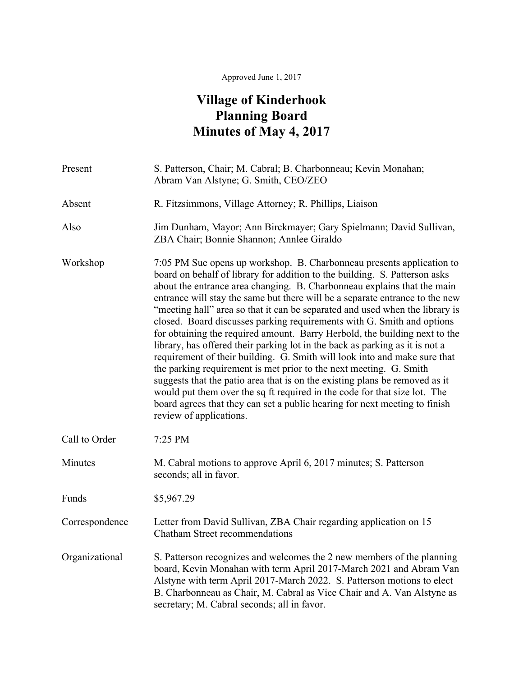## Approved June 1, 2017

## **Village of Kinderhook Planning Board Minutes of May 4, 2017**

| Present        | S. Patterson, Chair; M. Cabral; B. Charbonneau; Kevin Monahan;<br>Abram Van Alstyne; G. Smith, CEO/ZEO                                                                                                                                                                                                                                                                                                                                                                                                                                                                                                                                                                                                                                                                                                                                                                                                                                                                                                                                                         |
|----------------|----------------------------------------------------------------------------------------------------------------------------------------------------------------------------------------------------------------------------------------------------------------------------------------------------------------------------------------------------------------------------------------------------------------------------------------------------------------------------------------------------------------------------------------------------------------------------------------------------------------------------------------------------------------------------------------------------------------------------------------------------------------------------------------------------------------------------------------------------------------------------------------------------------------------------------------------------------------------------------------------------------------------------------------------------------------|
| Absent         | R. Fitzsimmons, Village Attorney; R. Phillips, Liaison                                                                                                                                                                                                                                                                                                                                                                                                                                                                                                                                                                                                                                                                                                                                                                                                                                                                                                                                                                                                         |
| Also           | Jim Dunham, Mayor; Ann Birckmayer; Gary Spielmann; David Sullivan,<br>ZBA Chair; Bonnie Shannon; Annlee Giraldo                                                                                                                                                                                                                                                                                                                                                                                                                                                                                                                                                                                                                                                                                                                                                                                                                                                                                                                                                |
| Workshop       | 7:05 PM Sue opens up workshop. B. Charbonneau presents application to<br>board on behalf of library for addition to the building. S. Patterson asks<br>about the entrance area changing. B. Charbonneau explains that the main<br>entrance will stay the same but there will be a separate entrance to the new<br>"meeting hall" area so that it can be separated and used when the library is<br>closed. Board discusses parking requirements with G. Smith and options<br>for obtaining the required amount. Barry Herbold, the building next to the<br>library, has offered their parking lot in the back as parking as it is not a<br>requirement of their building. G. Smith will look into and make sure that<br>the parking requirement is met prior to the next meeting. G. Smith<br>suggests that the patio area that is on the existing plans be removed as it<br>would put them over the sq ft required in the code for that size lot. The<br>board agrees that they can set a public hearing for next meeting to finish<br>review of applications. |
| Call to Order  | 7:25 PM                                                                                                                                                                                                                                                                                                                                                                                                                                                                                                                                                                                                                                                                                                                                                                                                                                                                                                                                                                                                                                                        |
| Minutes        | M. Cabral motions to approve April 6, 2017 minutes; S. Patterson<br>seconds; all in favor.                                                                                                                                                                                                                                                                                                                                                                                                                                                                                                                                                                                                                                                                                                                                                                                                                                                                                                                                                                     |
| Funds          | \$5,967.29                                                                                                                                                                                                                                                                                                                                                                                                                                                                                                                                                                                                                                                                                                                                                                                                                                                                                                                                                                                                                                                     |
| Correspondence | Letter from David Sullivan, ZBA Chair regarding application on 15<br><b>Chatham Street recommendations</b>                                                                                                                                                                                                                                                                                                                                                                                                                                                                                                                                                                                                                                                                                                                                                                                                                                                                                                                                                     |
| Organizational | S. Patterson recognizes and welcomes the 2 new members of the planning<br>board, Kevin Monahan with term April 2017-March 2021 and Abram Van<br>Alstyne with term April 2017-March 2022. S. Patterson motions to elect<br>B. Charbonneau as Chair, M. Cabral as Vice Chair and A. Van Alstyne as<br>secretary; M. Cabral seconds; all in favor.                                                                                                                                                                                                                                                                                                                                                                                                                                                                                                                                                                                                                                                                                                                |